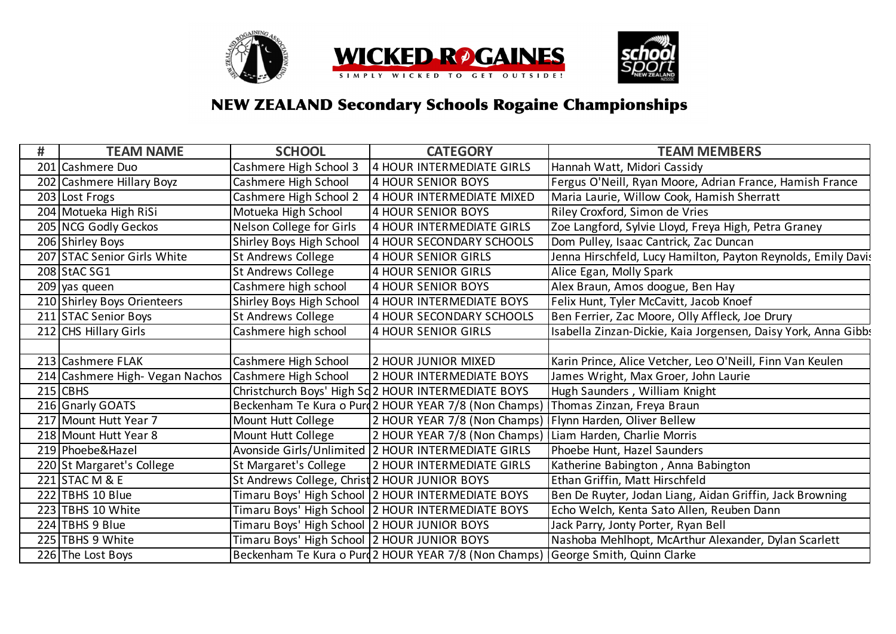

## **NEW ZEALAND Secondary Schools Rogaine Championships**

| #   | <b>TEAM NAME</b>                | <b>SCHOOL</b>                                 | <b>CATEGORY</b>                                                                  | <b>TEAM MEMBERS</b>                                            |
|-----|---------------------------------|-----------------------------------------------|----------------------------------------------------------------------------------|----------------------------------------------------------------|
| 201 | Cashmere Duo                    | Cashmere High School 3                        | 4 HOUR INTERMEDIATE GIRLS                                                        | Hannah Watt, Midori Cassidy                                    |
|     | 202 Cashmere Hillary Boyz       | Cashmere High School                          | <b>4 HOUR SENIOR BOYS</b>                                                        | Fergus O'Neill, Ryan Moore, Adrian France, Hamish France       |
|     | 203 Lost Frogs                  | Cashmere High School 2                        | 4 HOUR INTERMEDIATE MIXED                                                        | Maria Laurie, Willow Cook, Hamish Sherratt                     |
|     | 204 Motueka High RiSi           | Motueka High School                           | <b>4 HOUR SENIOR BOYS</b>                                                        | Riley Croxford, Simon de Vries                                 |
|     | 205 NCG Godly Geckos            | Nelson College for Girls                      | 4 HOUR INTERMEDIATE GIRLS                                                        | Zoe Langford, Sylvie Lloyd, Freya High, Petra Graney           |
|     | 206 Shirley Boys                | Shirley Boys High School                      | 4 HOUR SECONDARY SCHOOLS                                                         | Dom Pulley, Isaac Cantrick, Zac Duncan                         |
|     | 207 STAC Senior Girls White     | <b>St Andrews College</b>                     | <b>4 HOUR SENIOR GIRLS</b>                                                       | Jenna Hirschfeld, Lucy Hamilton, Payton Reynolds, Emily Davis  |
|     | 208 StAC SG1                    | <b>St Andrews College</b>                     | 4 HOUR SENIOR GIRLS                                                              | Alice Egan, Molly Spark                                        |
|     | 209 yas queen                   | Cashmere high school                          | 4 HOUR SENIOR BOYS                                                               | Alex Braun, Amos doogue, Ben Hay                               |
|     | 210 Shirley Boys Orienteers     | Shirley Boys High School                      | 4 HOUR INTERMEDIATE BOYS                                                         | Felix Hunt, Tyler McCavitt, Jacob Knoef                        |
|     | 211 STAC Senior Boys            | <b>St Andrews College</b>                     | 4 HOUR SECONDARY SCHOOLS                                                         | Ben Ferrier, Zac Moore, Olly Affleck, Joe Drury                |
|     | 212 CHS Hillary Girls           | Cashmere high school                          | <b>4 HOUR SENIOR GIRLS</b>                                                       | Isabella Zinzan-Dickie, Kaia Jorgensen, Daisy York, Anna Gibbs |
|     |                                 |                                               |                                                                                  |                                                                |
|     | 213 Cashmere FLAK               | Cashmere High School                          | 2 HOUR JUNIOR MIXED                                                              | Karin Prince, Alice Vetcher, Leo O'Neill, Finn Van Keulen      |
|     | 214 Cashmere High- Vegan Nachos | Cashmere High School                          | <b>2 HOUR INTERMEDIATE BOYS</b>                                                  | James Wright, Max Groer, John Laurie                           |
|     | $215$ CBHS                      |                                               | Christchurch Boys' High Sc 2 HOUR INTERMEDIATE BOYS                              | Hugh Saunders, William Knight                                  |
|     | 216 Gnarly GOATS                |                                               | Beckenham Te Kura o Purd 2 HOUR YEAR 7/8 (Non Champs)                            | Thomas Zinzan, Freya Braun                                     |
|     | 217 Mount Hutt Year 7           | Mount Hutt College                            | 2 HOUR YEAR 7/8 (Non Champs)                                                     | Flynn Harden, Oliver Bellew                                    |
|     | 218 Mount Hutt Year 8           | Mount Hutt College                            | 2 HOUR YEAR 7/8 (Non Champs)                                                     | Liam Harden, Charlie Morris                                    |
|     | 219 Phoebe& Hazel               |                                               | Avonside Girls/Unlimited 2 HOUR INTERMEDIATE GIRLS                               | Phoebe Hunt, Hazel Saunders                                    |
|     | 220 St Margaret's College       | St Margaret's College                         | <b>2 HOUR INTERMEDIATE GIRLS</b>                                                 | Katherine Babington, Anna Babington                            |
|     | 221 STAC M & E                  | St Andrews College, Christ 2 HOUR JUNIOR BOYS |                                                                                  | Ethan Griffin, Matt Hirschfeld                                 |
|     | $222$ TBHS 10 Blue              |                                               | Timaru Boys' High School   2 HOUR INTERMEDIATE BOYS                              | Ben De Ruyter, Jodan Liang, Aidan Griffin, Jack Browning       |
|     | 223 TBHS 10 White               |                                               | Timaru Boys' High School   2 HOUR INTERMEDIATE BOYS                              | Echo Welch, Kenta Sato Allen, Reuben Dann                      |
|     | 224 TBHS 9 Blue                 | Timaru Boys' High School 2 HOUR JUNIOR BOYS   |                                                                                  | Jack Parry, Jonty Porter, Ryan Bell                            |
|     | 225 TBHS 9 White                | Timaru Boys' High School 2 HOUR JUNIOR BOYS   |                                                                                  | Nashoba Mehlhopt, McArthur Alexander, Dylan Scarlett           |
|     | 226 The Lost Boys               |                                               | Beckenham Te Kura o Purd 2 HOUR YEAR 7/8 (Non Champs) George Smith, Quinn Clarke |                                                                |